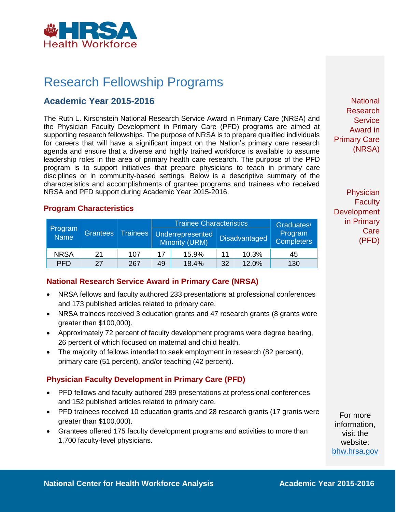

# Research Fellowship Programs

# **Academic Year 2015-2016**

The Ruth L. Kirschstein National Research Service Award in Primary Care (NRSA) and the Physician Faculty Development in Primary Care (PFD) programs are aimed at supporting research fellowships. The purpose of NRSA is to prepare qualified individuals for careers that will have a significant impact on the Nation's primary care research agenda and ensure that a diverse and highly trained workforce is available to assume leadership roles in the area of primary health care research. The purpose of the PFD program is to support initiatives that prepare physicians to teach in primary care disciplines or in community-based settings. Below is a descriptive summary of the characteristics and accomplishments of grantee programs and trainees who received NRSA and PFD support during Academic Year 2015-2016.

#### **Program Characteristics**

| Program<br>Name | <b>Grantees</b> | <b>Trainees</b> | <b>Trainee Characteristics</b> |                                           |    |                      | Graduates/                   |
|-----------------|-----------------|-----------------|--------------------------------|-------------------------------------------|----|----------------------|------------------------------|
|                 |                 |                 |                                | <b>Underrepresented</b><br>Minority (URM) |    | <b>Disadvantaged</b> | Program<br><b>Completers</b> |
| <b>NRSA</b>     | 21              | 107             | 17                             | 15.9%                                     | 11 | 10.3%                | 45                           |
| <b>PFD</b>      | 27              | 267             | 49                             | 18.4%                                     | 32 | 12.0%                | 130                          |

## **National Research Service Award in Primary Care (NRSA)**

- NRSA fellows and faculty authored 233 presentations at professional conferences and 173 published articles related to primary care.
- NRSA trainees received 3 education grants and 47 research grants (8 grants were greater than \$100,000).
- Approximately 72 percent of faculty development programs were degree bearing, 26 percent of which focused on maternal and child health.
- The majority of fellows intended to seek employment in research (82 percent), primary care (51 percent), and/or teaching (42 percent).

## **Physician Faculty Development in Primary Care (PFD)**

- PFD fellows and faculty authored 289 presentations at professional conferences and 152 published articles related to primary care.
- PFD trainees received 10 education grants and 28 research grants (17 grants were greater than \$100,000).
- Grantees offered 175 faculty development programs and activities to more than 1,700 faculty-level physicians.

**National Research Service** Award in Primary Care (NRSA)

Physician **Faculty Development** in Primary **Care** (PFD)

For more information, visit the website: [bhw.hrsa.gov](http://bhw.hrsa.gov/)